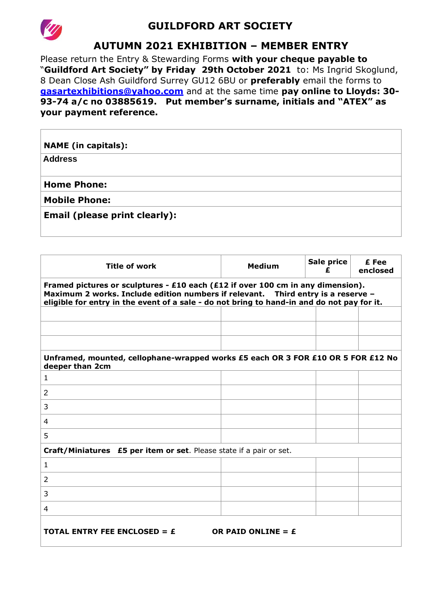

## **GUILDFORD ART SOCIETY**

## **AUTUMN 2021 EXHIBITION – MEMBER ENTRY**

Please return the Entry & Stewarding Forms with your cheque payable to "**Guildford Art Society" by Friday 29th October 2021** to: Ms Ingrid Skoglund, 8 Dean Close Ash Guildford Surrey GU12 6BU or **preferably** email the forms to **[gasartexhibitions@yahoo.com](mailto:gasartexhibitions@yahoo.com)** and at the same time **pay online to Lloyds: 30- 93-74 a/c no 03885619. Put member's surname, initials and "ATEX" as your payment reference.**

| <b>NAME</b> (in capitals):           |  |
|--------------------------------------|--|
| <b>Address</b>                       |  |
|                                      |  |
| <b>Home Phone:</b>                   |  |
| <b>Mobile Phone:</b>                 |  |
| <b>Email (please print clearly):</b> |  |
|                                      |  |
|                                      |  |

| <b>Title of work</b>                                                                                                                                                                                                                                              | <b>Medium</b> | Sale price<br>£ | £ Fee<br>enclosed |  |  |  |  |  |
|-------------------------------------------------------------------------------------------------------------------------------------------------------------------------------------------------------------------------------------------------------------------|---------------|-----------------|-------------------|--|--|--|--|--|
| Framed pictures or sculptures - £10 each (£12 if over 100 cm in any dimension).<br>Maximum 2 works. Include edition numbers if relevant. Third entry is a reserve -<br>eligible for entry in the event of a sale - do not bring to hand-in and do not pay for it. |               |                 |                   |  |  |  |  |  |
|                                                                                                                                                                                                                                                                   |               |                 |                   |  |  |  |  |  |
|                                                                                                                                                                                                                                                                   |               |                 |                   |  |  |  |  |  |
|                                                                                                                                                                                                                                                                   |               |                 |                   |  |  |  |  |  |
| Unframed, mounted, cellophane-wrapped works £5 each OR 3 FOR £10 OR 5 FOR £12 No<br>deeper than 2cm                                                                                                                                                               |               |                 |                   |  |  |  |  |  |
| $\mathbf{1}$                                                                                                                                                                                                                                                      |               |                 |                   |  |  |  |  |  |
| 2                                                                                                                                                                                                                                                                 |               |                 |                   |  |  |  |  |  |
| 3                                                                                                                                                                                                                                                                 |               |                 |                   |  |  |  |  |  |
| 4                                                                                                                                                                                                                                                                 |               |                 |                   |  |  |  |  |  |
| 5                                                                                                                                                                                                                                                                 |               |                 |                   |  |  |  |  |  |
| Craft/Miniatures £5 per item or set. Please state if a pair or set.                                                                                                                                                                                               |               |                 |                   |  |  |  |  |  |
| 1                                                                                                                                                                                                                                                                 |               |                 |                   |  |  |  |  |  |
| 2                                                                                                                                                                                                                                                                 |               |                 |                   |  |  |  |  |  |
| 3                                                                                                                                                                                                                                                                 |               |                 |                   |  |  |  |  |  |
| 4                                                                                                                                                                                                                                                                 |               |                 |                   |  |  |  |  |  |
| TOTAL ENTRY FEE ENCLOSED = $\boldsymbol{\epsilon}$<br>OR PAID ONLINE = $E$                                                                                                                                                                                        |               |                 |                   |  |  |  |  |  |